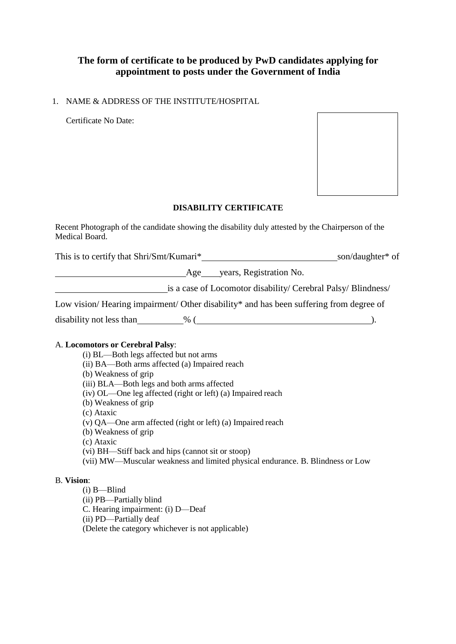# **The form of certificate to be produced by PwD candidates applying for appointment to posts under the Government of India**

## 1. NAME & ADDRESS OF THE INSTITUTE/HOSPITAL

Certificate No Date:



## **DISABILITY CERTIFICATE**

Recent Photograph of the candidate showing the disability duly attested by the Chairperson of the Medical Board.

This is to certify that Shri/Smt/Kumari\*<br>
Son/daughter\* of son/daughter\* of

Age years, Registration No.

is a case of Locomotor disability/ Cerebral Palsy/ Blindness/

Low vision/Hearing impairment/ Other disability\* and has been suffering from degree of

disability not less than  $\_\_\_\%$  ( $\_\_\_\_\_\$ 

## A. **Locomotors or Cerebral Palsy**:

- (i) BL—Both legs affected but not arms
- (ii) BA—Both arms affected (a) Impaired reach
- (b) Weakness of grip
- (iii) BLA—Both legs and both arms affected
- (iv) OL—One leg affected (right or left) (a) Impaired reach
- (b) Weakness of grip
- (c) Ataxic
- (v) QA—One arm affected (right or left) (a) Impaired reach
- (b) Weakness of grip
- (c) Ataxic
- (vi) BH—Stiff back and hips (cannot sit or stoop)
- (vii) MW—Muscular weakness and limited physical endurance. B. Blindness or Low

## B. **Vision**:

(i) B—Blind (ii) PB—Partially blind C. Hearing impairment: (i) D—Deaf (ii) PD—Partially deaf (Delete the category whichever is not applicable)